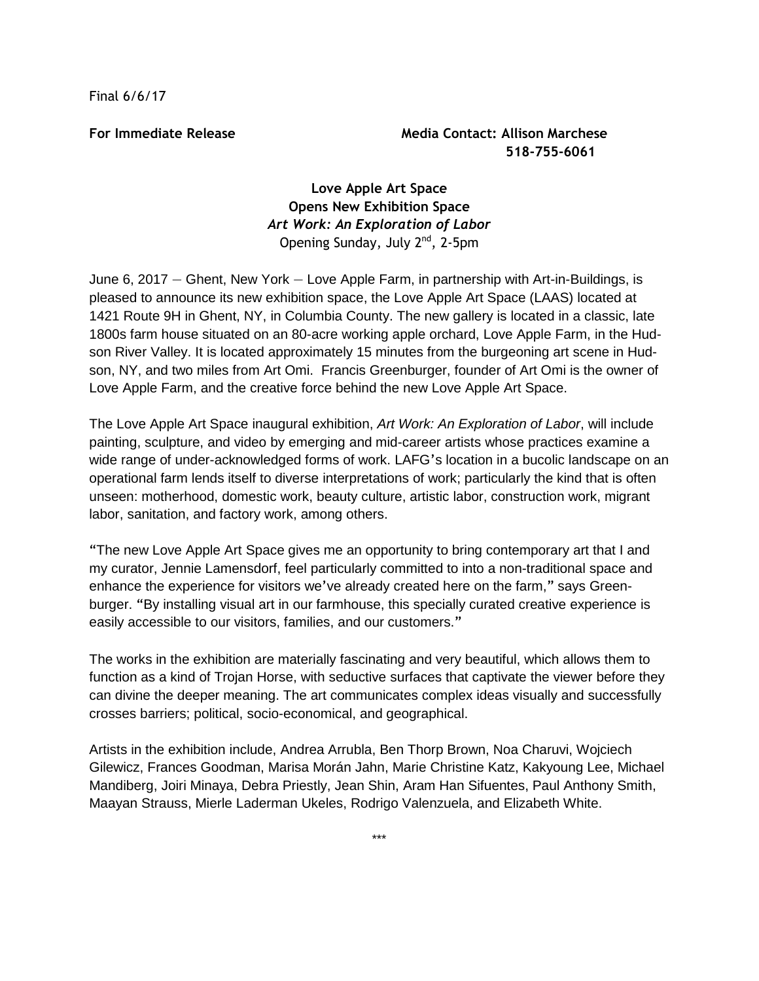Final 6/6/17

## **For Immediate Release Media Contact: Allison Marchese 518-755-6061**

## **Love Apple Art Space Opens New Exhibition Space** *Art Work: An Exploration of Labor* Opening Sunday, July 2<sup>nd</sup>, 2-5pm

June 6, 2017 — Ghent, New York — Love Apple Farm, in partnership with Art-in-Buildings, is pleased to announce its new exhibition space, the Love Apple Art Space (LAAS) located at 1421 Route 9H in Ghent, NY, in Columbia County. The new gallery is located in a classic, late 1800s farm house situated on an 80-acre working apple orchard, Love Apple Farm, in the Hudson River Valley. It is located approximately 15 minutes from the burgeoning art scene in Hudson, NY, and two miles from Art Omi. Francis Greenburger, founder of Art Omi is the owner of Love Apple Farm, and the creative force behind the new Love Apple Art Space.

The Love Apple Art Space inaugural exhibition, *Art Work: An Exploration of Labor*, will include painting, sculpture, and video by emerging and mid-career artists whose practices examine a wide range of under-acknowledged forms of work. LAFG's location in a bucolic landscape on an operational farm lends itself to diverse interpretations of work; particularly the kind that is often unseen: motherhood, domestic work, beauty culture, artistic labor, construction work, migrant labor, sanitation, and factory work, among others.

"The new Love Apple Art Space gives me an opportunity to bring contemporary art that I and my curator, Jennie Lamensdorf, feel particularly committed to into a non-traditional space and enhance the experience for visitors we've already created here on the farm," says Greenburger. "By installing visual art in our farmhouse, this specially curated creative experience is easily accessible to our visitors, families, and our customers."

The works in the exhibition are materially fascinating and very beautiful, which allows them to function as a kind of Trojan Horse, with seductive surfaces that captivate the viewer before they can divine the deeper meaning. The art communicates complex ideas visually and successfully crosses barriers; political, socio-economical, and geographical.

Artists in the exhibition include, Andrea Arrubla, Ben Thorp Brown, Noa Charuvi, Wojciech Gilewicz, Frances Goodman, Marisa Morán Jahn, Marie Christine Katz, Kakyoung Lee, Michael Mandiberg, Joiri Minaya, Debra Priestly, Jean Shin, Aram Han Sifuentes, Paul Anthony Smith, Maayan Strauss, Mierle Laderman Ukeles, Rodrigo Valenzuela, and Elizabeth White.

\*\*\*